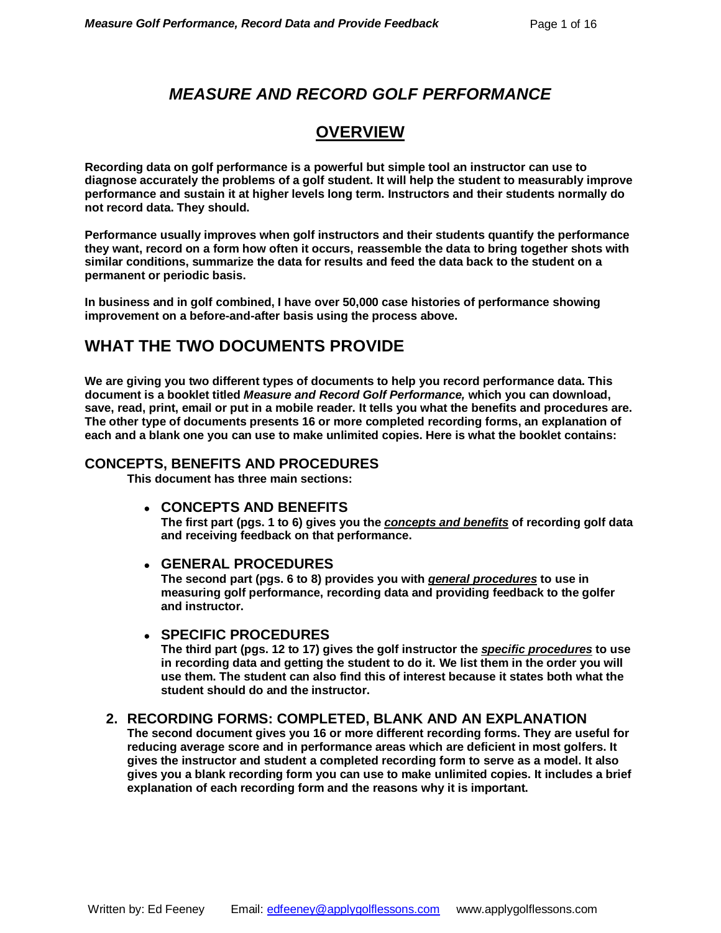### *MEASURE AND RECORD GOLF PERFORMANCE*

### **OVERVIEW**

**Recording data on golf performance is a powerful but simple tool an instructor can use to diagnose accurately the problems of a golf student. It will help the student to measurably improve performance and sustain it at higher levels long term. Instructors and their students normally do not record data. They should.**

**Performance usually improves when golf instructors and their students quantify the performance they want, record on a form how often it occurs, reassemble the data to bring together shots with similar conditions, summarize the data for results and feed the data back to the student on a permanent or periodic basis.** 

**In business and in golf combined, I have over 50,000 case histories of performance showing improvement on a before-and-after basis using the process above.**

### **WHAT THE TWO DOCUMENTS PROVIDE**

**We are giving you two different types of documents to help you record performance data. This document is a booklet titled** *Measure and Record Golf Performance,* **which you can download, save, read, print, email or put in a mobile reader. It tells you what the benefits and procedures are. The other type of documents presents 16 or more completed recording forms, an explanation of each and a blank one you can use to make unlimited copies. Here is what the booklet contains:**

#### **CONCEPTS, BENEFITS AND PROCEDURES**

**This document has three main sections:**

**CONCEPTS AND BENEFITS**

**The first part (pgs. 1 to 6) gives you the** *concepts and benefits* **of recording golf data and receiving feedback on that performance.** 

#### **GENERAL PROCEDURES**

**The second part (pgs. 6 to 8) provides you with** *general procedures* **to use in measuring golf performance, recording data and providing feedback to the golfer and instructor.**

#### **SPECIFIC PROCEDURES**

**The third part (pgs. 12 to 17) gives the golf instructor the** *specific procedures* **to use in recording data and getting the student to do it. We list them in the order you will use them. The student can also find this of interest because it states both what the student should do and the instructor.**

#### **2. RECORDING FORMS: COMPLETED, BLANK AND AN EXPLANATION**

**The second document gives you 16 or more different recording forms. They are useful for reducing average score and in performance areas which are deficient in most golfers. It gives the instructor and student a completed recording form to serve as a model. It also gives you a blank recording form you can use to make unlimited copies. It includes a brief explanation of each recording form and the reasons why it is important.**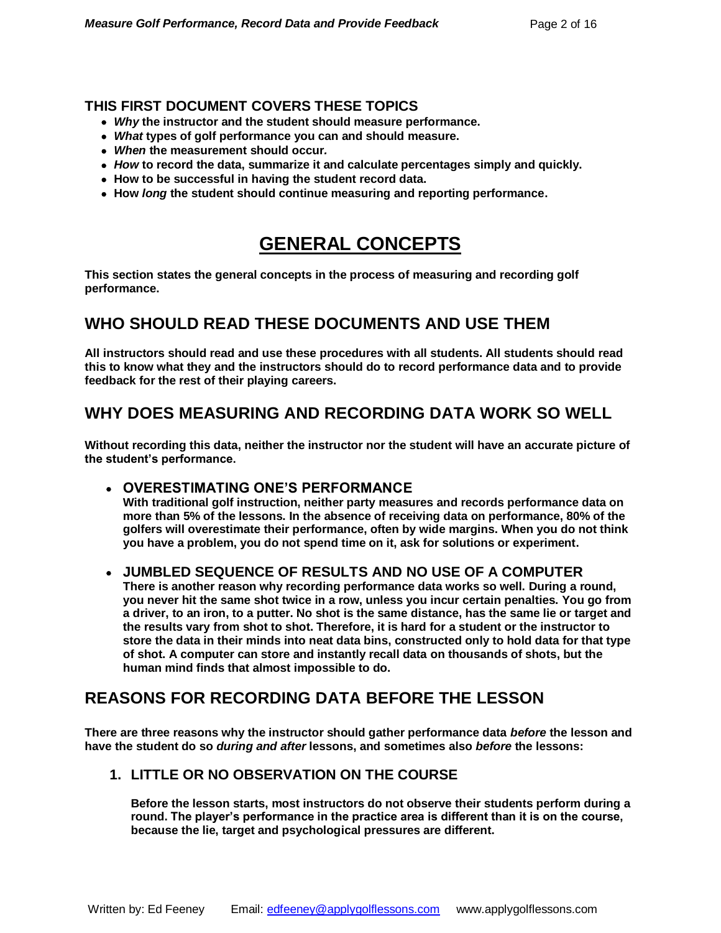#### **THIS FIRST DOCUMENT COVERS THESE TOPICS**

- *Why* **the instructor and the student should measure performance.**
- *What* **types of golf performance you can and should measure.**
- *When* **the measurement should occur***.*
- *How* **to record the data, summarize it and calculate percentages simply and quickly.**
- **How to be successful in having the student record data.**
- **How** *long* **the student should continue measuring and reporting performance.**

# **GENERAL CONCEPTS**

**This section states the general concepts in the process of measuring and recording golf performance.**

### **WHO SHOULD READ THESE DOCUMENTS AND USE THEM**

**All instructors should read and use these procedures with all students. All students should read this to know what they and the instructors should do to record performance data and to provide feedback for the rest of their playing careers.**

### **WHY DOES MEASURING AND RECORDING DATA WORK SO WELL**

**Without recording this data, neither the instructor nor the student will have an accurate picture of the student's performance.** 

**OVERESTIMATING ONE'S PERFORMANCE** 

**With traditional golf instruction, neither party measures and records performance data on more than 5% of the lessons. In the absence of receiving data on performance, 80% of the golfers will overestimate their performance, often by wide margins. When you do not think you have a problem, you do not spend time on it, ask for solutions or experiment.**

#### **JUMBLED SEQUENCE OF RESULTS AND NO USE OF A COMPUTER**

**There is another reason why recording performance data works so well. During a round, you never hit the same shot twice in a row, unless you incur certain penalties. You go from a driver, to an iron, to a putter. No shot is the same distance, has the same lie or target and the results vary from shot to shot. Therefore, it is hard for a student or the instructor to store the data in their minds into neat data bins, constructed only to hold data for that type of shot. A computer can store and instantly recall data on thousands of shots, but the human mind finds that almost impossible to do.**

### **REASONS FOR RECORDING DATA BEFORE THE LESSON**

**There are three reasons why the instructor should gather performance data** *before* **the lesson and have the student do so** *during and after* **lessons, and sometimes also** *before* **the lessons:**

#### **1. LITTLE OR NO OBSERVATION ON THE COURSE**

**Before the lesson starts, most instructors do not observe their students perform during a round. The player's performance in the practice area is different than it is on the course, because the lie, target and psychological pressures are different.**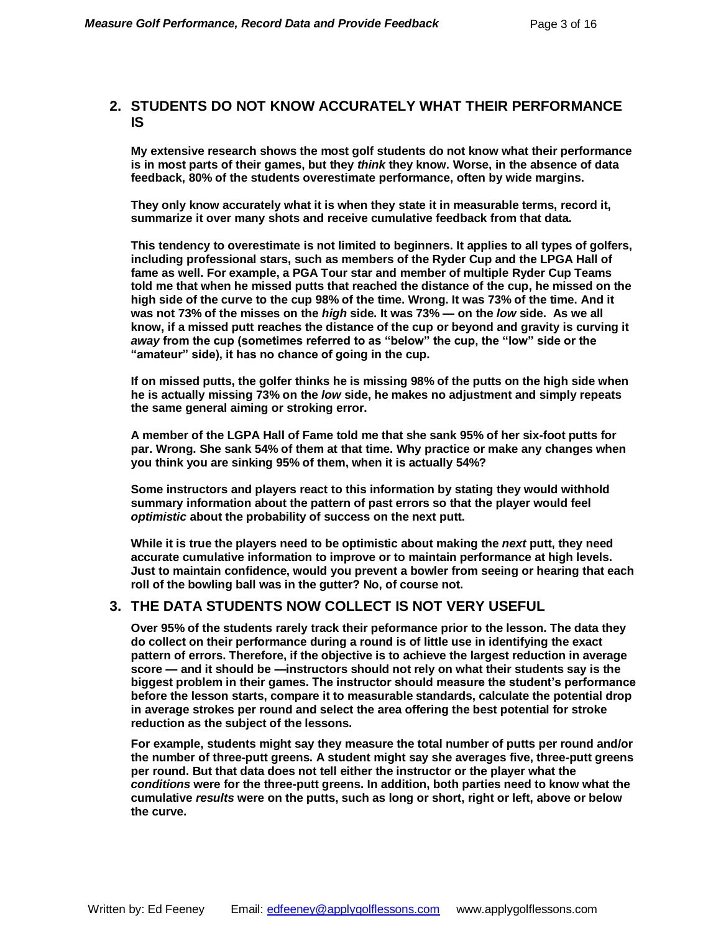#### **2. STUDENTS DO NOT KNOW ACCURATELY WHAT THEIR PERFORMANCE IS**

**My extensive research shows the most golf students do not know what their performance is in most parts of their games, but they** *think* **they know. Worse, in the absence of data feedback, 80% of the students overestimate performance, often by wide margins.**

**They only know accurately what it is when they state it in measurable terms, record it, summarize it over many shots and receive cumulative feedback from that data.** 

**This tendency to overestimate is not limited to beginners. It applies to all types of golfers, including professional stars, such as members of the Ryder Cup and the LPGA Hall of fame as well. For example, a PGA Tour star and member of multiple Ryder Cup Teams told me that when he missed putts that reached the distance of the cup, he missed on the high side of the curve to the cup 98% of the time. Wrong. It was 73% of the time. And it was not 73% of the misses on the** *high* **side. It was 73% — on the** *low* **side. As we all know, if a missed putt reaches the distance of the cup or beyond and gravity is curving it**  *away* **from the cup (sometimes referred to as "below" the cup, the "low" side or the "amateur" side), it has no chance of going in the cup.** 

**If on missed putts, the golfer thinks he is missing 98% of the putts on the high side when he is actually missing 73% on the** *low* **side, he makes no adjustment and simply repeats the same general aiming or stroking error.** 

**A member of the LGPA Hall of Fame told me that she sank 95% of her six-foot putts for par. Wrong. She sank 54% of them at that time. Why practice or make any changes when you think you are sinking 95% of them, when it is actually 54%?**

**Some instructors and players react to this information by stating they would withhold summary information about the pattern of past errors so that the player would feel**  *optimistic* **about the probability of success on the next putt.**

**While it is true the players need to be optimistic about making the** *next* **putt, they need accurate cumulative information to improve or to maintain performance at high levels. Just to maintain confidence, would you prevent a bowler from seeing or hearing that each roll of the bowling ball was in the gutter? No, of course not.** 

#### **3. THE DATA STUDENTS NOW COLLECT IS NOT VERY USEFUL**

**Over 95% of the students rarely track their peformance prior to the lesson. The data they do collect on their performance during a round is of little use in identifying the exact pattern of errors. Therefore, if the objective is to achieve the largest reduction in average score — and it should be —instructors should not rely on what their students say is the biggest problem in their games. The instructor should measure the student's performance before the lesson starts, compare it to measurable standards, calculate the potential drop in average strokes per round and select the area offering the best potential for stroke reduction as the subject of the lessons.**

**For example, students might say they measure the total number of putts per round and/or the number of three-putt greens. A student might say she averages five, three-putt greens per round. But that data does not tell either the instructor or the player what the**  *conditions* **were for the three-putt greens. In addition, both parties need to know what the cumulative** *results* **were on the putts, such as long or short, right or left, above or below the curve.**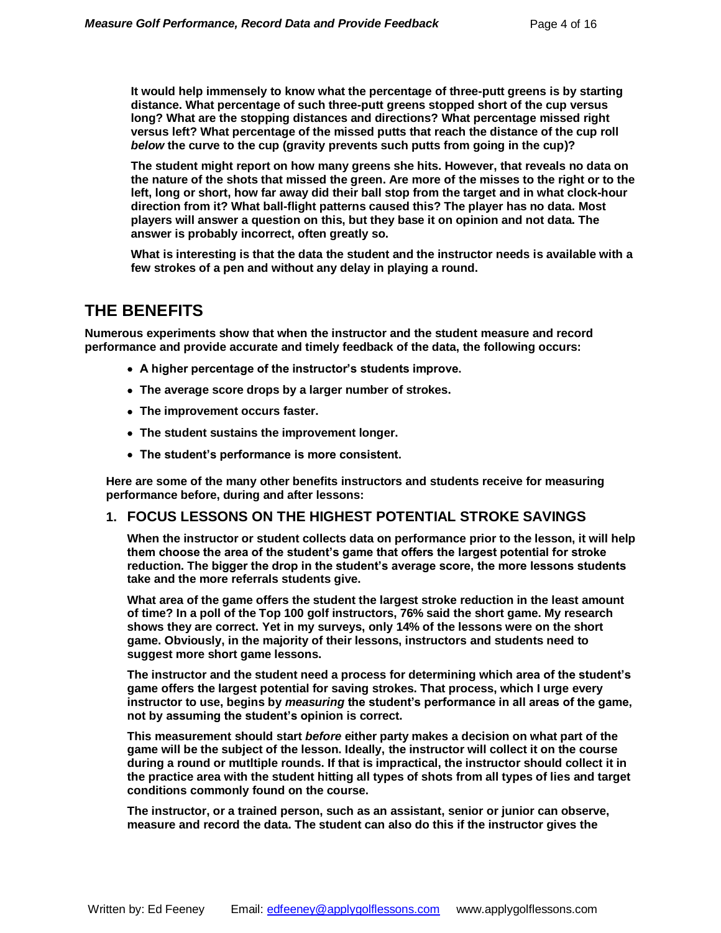**It would help immensely to know what the percentage of three-putt greens is by starting distance. What percentage of such three-putt greens stopped short of the cup versus long? What are the stopping distances and directions? What percentage missed right versus left? What percentage of the missed putts that reach the distance of the cup roll**  *below* **the curve to the cup (gravity prevents such putts from going in the cup)?**

**The student might report on how many greens she hits. However, that reveals no data on the nature of the shots that missed the green. Are more of the misses to the right or to the left, long or short, how far away did their ball stop from the target and in what clock-hour direction from it? What ball-flight patterns caused this? The player has no data. Most players will answer a question on this, but they base it on opinion and not data. The answer is probably incorrect, often greatly so.**

**What is interesting is that the data the student and the instructor needs is available with a few strokes of a pen and without any delay in playing a round.**

### **THE BENEFITS**

**Numerous experiments show that when the instructor and the student measure and record performance and provide accurate and timely feedback of the data, the following occurs:**

- **A higher percentage of the instructor's students improve.**
- **The average score drops by a larger number of strokes.**
- **The improvement occurs faster.**
- **The student sustains the improvement longer.**
- **The student's performance is more consistent.**

**Here are some of the many other benefits instructors and students receive for measuring performance before, during and after lessons:**

#### **1. FOCUS LESSONS ON THE HIGHEST POTENTIAL STROKE SAVINGS**

**When the instructor or student collects data on performance prior to the lesson, it will help them choose the area of the student's game that offers the largest potential for stroke reduction. The bigger the drop in the student's average score, the more lessons students take and the more referrals students give.** 

**What area of the game offers the student the largest stroke reduction in the least amount of time? In a poll of the Top 100 golf instructors, 76% said the short game. My research shows they are correct. Yet in my surveys, only 14% of the lessons were on the short game. Obviously, in the majority of their lessons, instructors and students need to suggest more short game lessons.**

**The instructor and the student need a process for determining which area of the student's game offers the largest potential for saving strokes. That process, which I urge every instructor to use, begins by** *measuring* **the student's performance in all areas of the game, not by assuming the student's opinion is correct.**

**This measurement should start** *before* **either party makes a decision on what part of the game will be the subject of the lesson. Ideally, the instructor will collect it on the course during a round or mutltiple rounds. If that is impractical, the instructor should collect it in the practice area with the student hitting all types of shots from all types of lies and target conditions commonly found on the course.** 

**The instructor, or a trained person, such as an assistant, senior or junior can observe, measure and record the data. The student can also do this if the instructor gives the**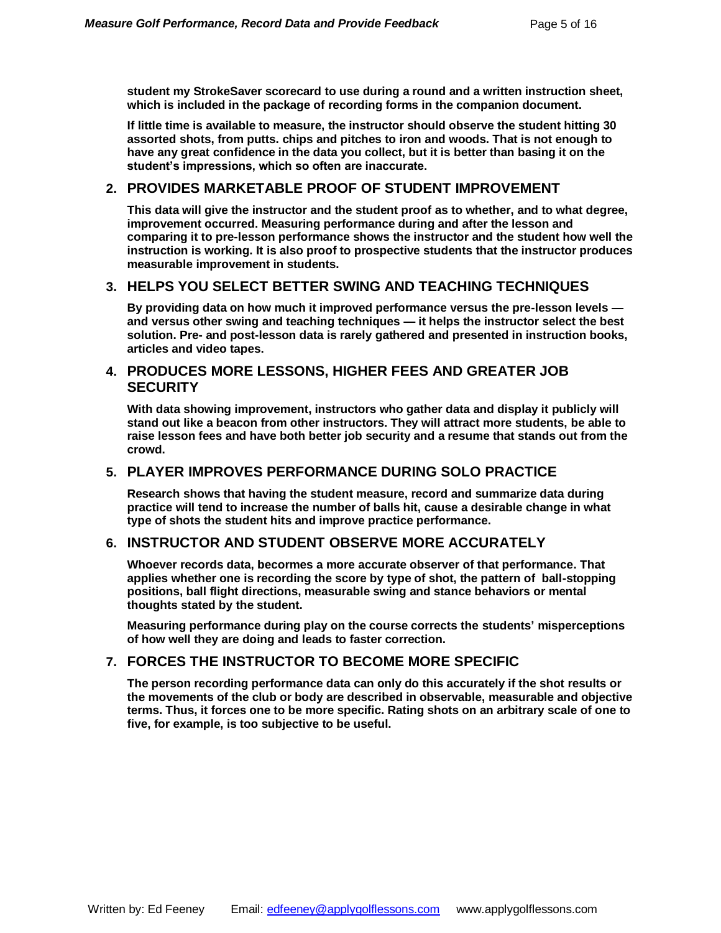**student my StrokeSaver scorecard to use during a round and a written instruction sheet, which is included in the package of recording forms in the companion document.**

**If little time is available to measure, the instructor should observe the student hitting 30 assorted shots, from putts. chips and pitches to iron and woods. That is not enough to have any great confidence in the data you collect, but it is better than basing it on the student's impressions, which so often are inaccurate.** 

#### **2. PROVIDES MARKETABLE PROOF OF STUDENT IMPROVEMENT**

**This data will give the instructor and the student proof as to whether, and to what degree, improvement occurred. Measuring performance during and after the lesson and comparing it to pre-lesson performance shows the instructor and the student how well the instruction is working. It is also proof to prospective students that the instructor produces measurable improvement in students.**

#### **3. HELPS YOU SELECT BETTER SWING AND TEACHING TECHNIQUES**

**By providing data on how much it improved performance versus the pre-lesson levels and versus other swing and teaching techniques — it helps the instructor select the best solution. Pre- and post-lesson data is rarely gathered and presented in instruction books, articles and video tapes.**

#### **4. PRODUCES MORE LESSONS, HIGHER FEES AND GREATER JOB SECURITY**

**With data showing improvement, instructors who gather data and display it publicly will stand out like a beacon from other instructors. They will attract more students, be able to raise lesson fees and have both better job security and a resume that stands out from the crowd.** 

#### **5. PLAYER IMPROVES PERFORMANCE DURING SOLO PRACTICE**

**Research shows that having the student measure, record and summarize data during practice will tend to increase the number of balls hit, cause a desirable change in what type of shots the student hits and improve practice performance.** 

#### **6. INSTRUCTOR AND STUDENT OBSERVE MORE ACCURATELY**

**Whoever records data, becormes a more accurate observer of that performance. That applies whether one is recording the score by type of shot, the pattern of ball-stopping positions, ball flight directions, measurable swing and stance behaviors or mental thoughts stated by the student.** 

**Measuring performance during play on the course corrects the students' misperceptions of how well they are doing and leads to faster correction.**

#### **7. FORCES THE INSTRUCTOR TO BECOME MORE SPECIFIC**

**The person recording performance data can only do this accurately if the shot results or the movements of the club or body are described in observable, measurable and objective terms. Thus, it forces one to be more specific. Rating shots on an arbitrary scale of one to five, for example, is too subjective to be useful.**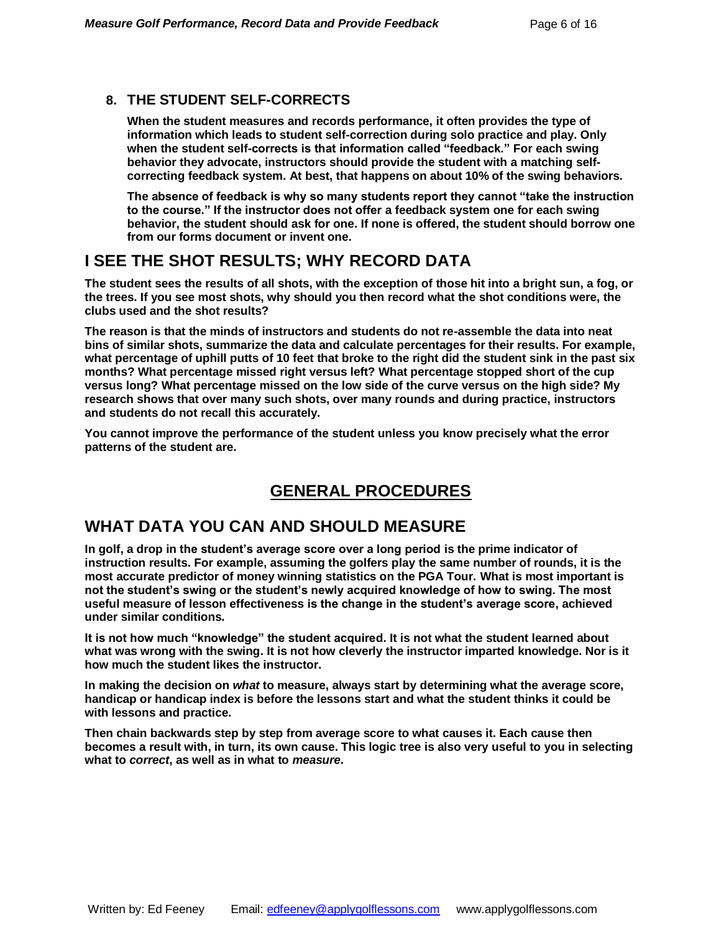#### **8. THE STUDENT SELF-CORRECTS**

**When the student measures and records performance, it often provides the type of information which leads to student self-correction during solo practice and play. Only when the student self-corrects is that information called "feedback." For each swing behavior they advocate, instructors should provide the student with a matching selfcorrecting feedback system. At best, that happens on about 10% of the swing behaviors.** 

**The absence of feedback is why so many students report they cannot "take the instruction to the course." If the instructor does not offer a feedback system one for each swing behavior, the student should ask for one. If none is offered, the student should borrow one from our forms document or invent one.** 

### **I SEE THE SHOT RESULTS; WHY RECORD DATA**

**The student sees the results of all shots, with the exception of those hit into a bright sun, a fog, or the trees. If you see most shots, why should you then record what the shot conditions were, the clubs used and the shot results?** 

**The reason is that the minds of instructors and students do not re-assemble the data into neat bins of similar shots, summarize the data and calculate percentages for their results. For example, what percentage of uphill putts of 10 feet that broke to the right did the student sink in the past six months? What percentage missed right versus left? What percentage stopped short of the cup versus long? What percentage missed on the low side of the curve versus on the high side? My research shows that over many such shots, over many rounds and during practice, instructors and students do not recall this accurately.** 

**You cannot improve the performance of the student unless you know precisely what the error patterns of the student are.** 

## **GENERAL PROCEDURES**

### **WHAT DATA YOU CAN AND SHOULD MEASURE**

**In golf, a drop in the student's average score over a long period is the prime indicator of instruction results. For example, assuming the golfers play the same number of rounds, it is the most accurate predictor of money winning statistics on the PGA Tour. What is most important is not the student's swing or the student's newly acquired knowledge of how to swing. The most useful measure of lesson effectiveness is the change in the student's average score, achieved under similar conditions.** 

**It is not how much "knowledge" the student acquired. It is not what the student learned about what was wrong with the swing. It is not how cleverly the instructor imparted knowledge. Nor is it how much the student likes the instructor.** 

**In making the decision on** *what* **to measure, always start by determining what the average score, handicap or handicap index is before the lessons start and what the student thinks it could be with lessons and practice.** 

**Then chain backwards step by step from average score to what causes it. Each cause then becomes a result with, in turn, its own cause. This logic tree is also very useful to you in selecting what to** *correct***, as well as in what to** *measure***.**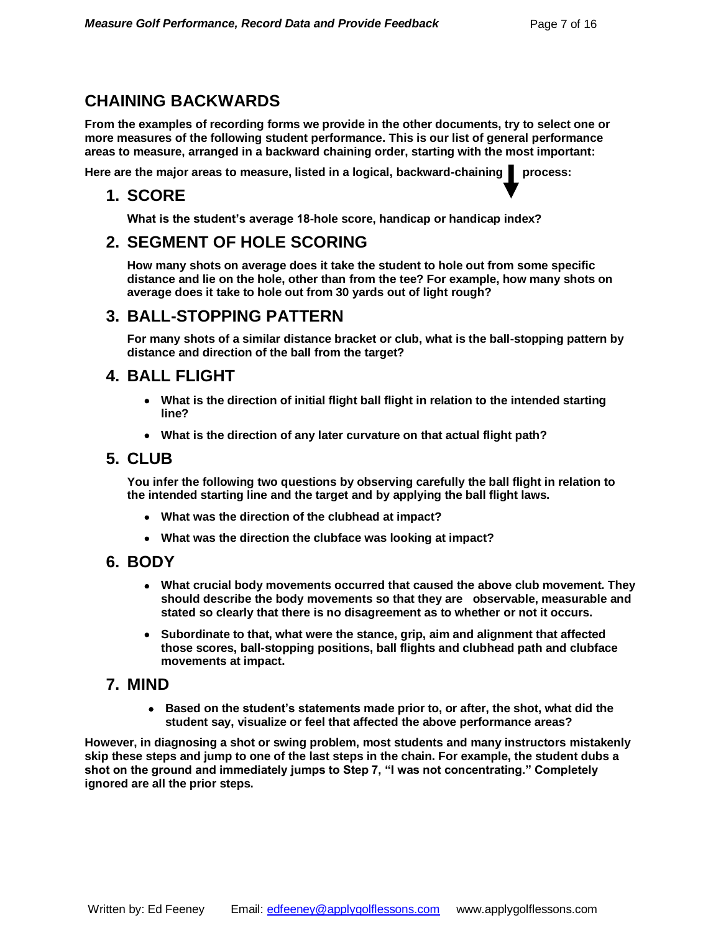### **CHAINING BACKWARDS**

**From the examples of recording forms we provide in the other documents, try to select one or more measures of the following student performance. This is our list of general performance areas to measure, arranged in a backward chaining order, starting with the most important:**

Here are the major areas to measure, listed in a logical, backward-chaining **process:** 

#### **1. SCORE**

**What is the student's average 18-hole score, handicap or handicap index?**

### **2. SEGMENT OF HOLE SCORING**

**How many shots on average does it take the student to hole out from some specific distance and lie on the hole, other than from the tee? For example, how many shots on average does it take to hole out from 30 yards out of light rough?**

#### **3. BALL-STOPPING PATTERN**

**For many shots of a similar distance bracket or club, what is the ball-stopping pattern by distance and direction of the ball from the target?**

#### **4. BALL FLIGHT**

- **What is the direction of initial flight ball flight in relation to the intended starting line?**
- **What is the direction of any later curvature on that actual flight path?**

#### **5. CLUB**

**You infer the following two questions by observing carefully the ball flight in relation to the intended starting line and the target and by applying the ball flight laws.**

- **What was the direction of the clubhead at impact?**
- **What was the direction the clubface was looking at impact?**

#### **6. BODY**

- **What crucial body movements occurred that caused the above club movement. They should describe the body movements so that they are observable, measurable and stated so clearly that there is no disagreement as to whether or not it occurs.**
- **Subordinate to that, what were the stance, grip, aim and alignment that affected those scores, ball-stopping positions, ball flights and clubhead path and clubface movements at impact.**

#### **7. MIND**

 **Based on the student's statements made prior to, or after, the shot, what did the student say, visualize or feel that affected the above performance areas?**

**However, in diagnosing a shot or swing problem, most students and many instructors mistakenly skip these steps and jump to one of the last steps in the chain. For example, the student dubs a shot on the ground and immediately jumps to Step 7, "I was not concentrating." Completely ignored are all the prior steps.**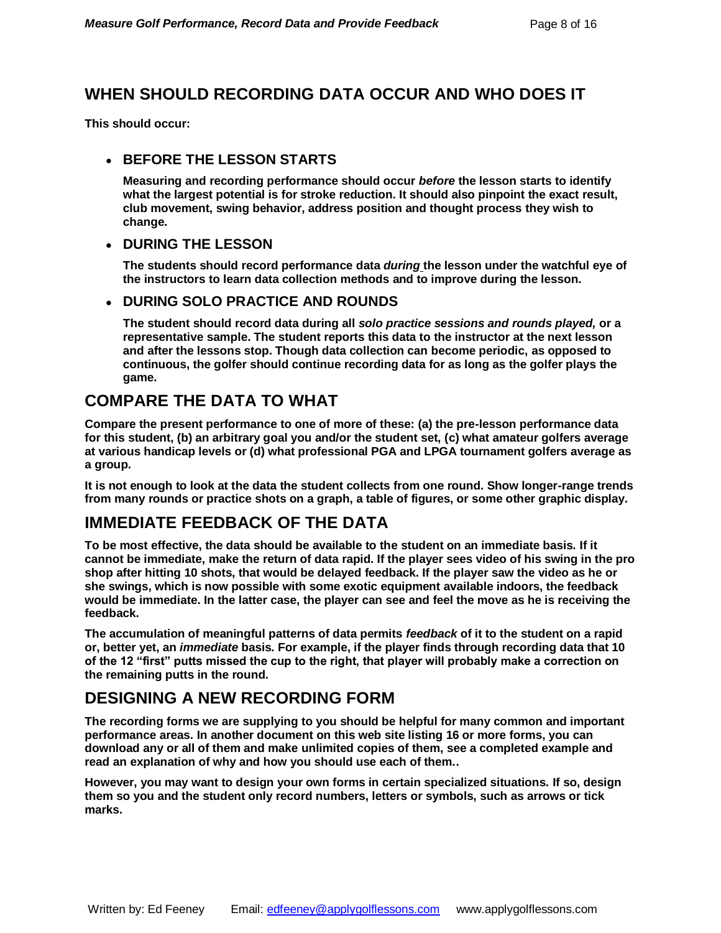### **WHEN SHOULD RECORDING DATA OCCUR AND WHO DOES IT**

**This should occur:**

#### **BEFORE THE LESSON STARTS**

**Measuring and recording performance should occur** *before* **the lesson starts to identify what the largest potential is for stroke reduction. It should also pinpoint the exact result, club movement, swing behavior, address position and thought process they wish to change.** 

#### **DURING THE LESSON**

**The students should record performance data** *during* **the lesson under the watchful eye of the instructors to learn data collection methods and to improve during the lesson.** 

#### **DURING SOLO PRACTICE AND ROUNDS**

**The student should record data during all** *solo practice sessions and rounds played,* **or a representative sample. The student reports this data to the instructor at the next lesson and after the lessons stop. Though data collection can become periodic, as opposed to continuous, the golfer should continue recording data for as long as the golfer plays the game.**

### **COMPARE THE DATA TO WHAT**

**Compare the present performance to one of more of these: (a) the pre-lesson performance data for this student, (b) an arbitrary goal you and/or the student set, (c) what amateur golfers average at various handicap levels or (d) what professional PGA and LPGA tournament golfers average as a group.** 

**It is not enough to look at the data the student collects from one round. Show longer-range trends from many rounds or practice shots on a graph, a table of figures, or some other graphic display.** 

### **IMMEDIATE FEEDBACK OF THE DATA**

**To be most effective, the data should be available to the student on an immediate basis. If it cannot be immediate, make the return of data rapid. If the player sees video of his swing in the pro shop after hitting 10 shots, that would be delayed feedback. If the player saw the video as he or she swings, which is now possible with some exotic equipment available indoors, the feedback would be immediate. In the latter case, the player can see and feel the move as he is receiving the feedback.**

**The accumulation of meaningful patterns of data permits** *feedback* **of it to the student on a rapid or, better yet, an** *immediate* **basis. For example, if the player finds through recording data that 10 of the 12 "first" putts missed the cup to the right, that player will probably make a correction on the remaining putts in the round.** 

### **DESIGNING A NEW RECORDING FORM**

**The recording forms we are supplying to you should be helpful for many common and important performance areas. In another document on this web site listing 16 or more forms, you can download any or all of them and make unlimited copies of them, see a completed example and read an explanation of why and how you should use each of them..**

**However, you may want to design your own forms in certain specialized situations. If so, design them so you and the student only record numbers, letters or symbols, such as arrows or tick marks.**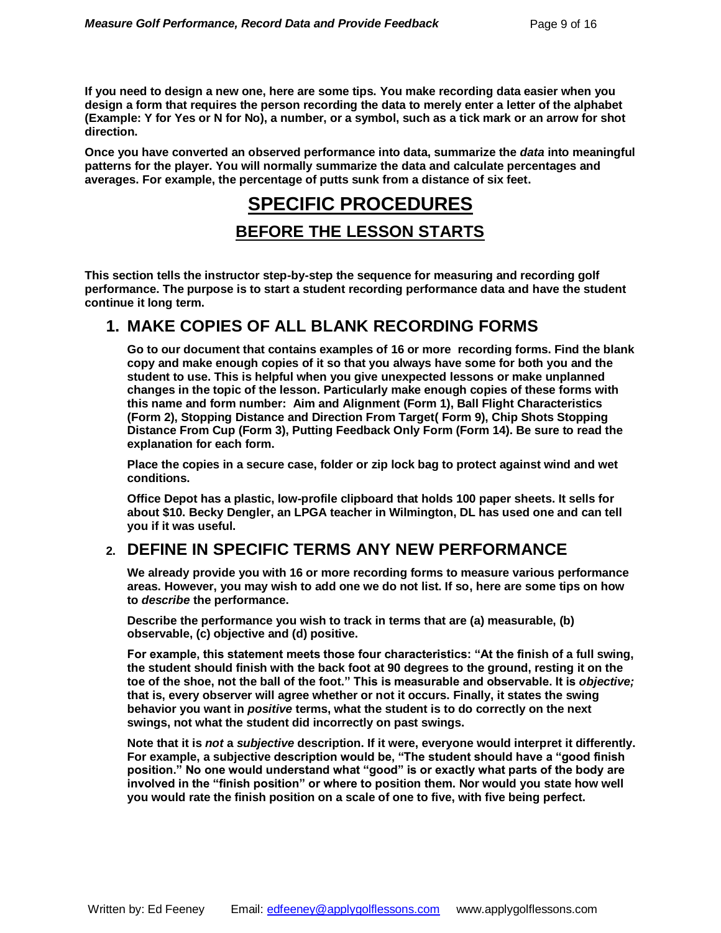**If you need to design a new one, here are some tips. You make recording data easier when you design a form that requires the person recording the data to merely enter a letter of the alphabet (Example: Y for Yes or N for No), a number, or a symbol, such as a tick mark or an arrow for shot direction.** 

**Once you have converted an observed performance into data, summarize the** *data* **into meaningful patterns for the player. You will normally summarize the data and calculate percentages and averages. For example, the percentage of putts sunk from a distance of six feet.**

# **SPECIFIC PROCEDURES**

#### **BEFORE THE LESSON STARTS**

**This section tells the instructor step-by-step the sequence for measuring and recording golf performance. The purpose is to start a student recording performance data and have the student continue it long term.**

### **1. MAKE COPIES OF ALL BLANK RECORDING FORMS**

**Go to our document that contains examples of 16 or more recording forms. Find the blank copy and make enough copies of it so that you always have some for both you and the student to use. This is helpful when you give unexpected lessons or make unplanned changes in the topic of the lesson. Particularly make enough copies of these forms with this name and form number: Aim and Alignment (Form 1), Ball Flight Characteristics (Form 2), Stopping Distance and Direction From Target( Form 9), Chip Shots Stopping Distance From Cup (Form 3), Putting Feedback Only Form (Form 14). Be sure to read the explanation for each form.**

**Place the copies in a secure case, folder or zip lock bag to protect against wind and wet conditions.**

**Office Depot has a plastic, low-profile clipboard that holds 100 paper sheets. It sells for about \$10. Becky Dengler, an LPGA teacher in Wilmington, DL has used one and can tell you if it was useful.**

### **2. DEFINE IN SPECIFIC TERMS ANY NEW PERFORMANCE**

**We already provide you with 16 or more recording forms to measure various performance areas. However, you may wish to add one we do not list. If so, here are some tips on how to** *describe* **the performance.**

**Describe the performance you wish to track in terms that are (a) measurable, (b) observable, (c) objective and (d) positive.** 

**For example, this statement meets those four characteristics: "At the finish of a full swing, the student should finish with the back foot at 90 degrees to the ground, resting it on the toe of the shoe, not the ball of the foot." This is measurable and observable. It is** *objective;* **that is, every observer will agree whether or not it occurs. Finally, it states the swing behavior you want in** *positive* **terms, what the student is to do correctly on the next swings, not what the student did incorrectly on past swings.** 

**Note that it is** *not* **a** *subjective* **description. If it were, everyone would interpret it differently. For example, a subjective description would be, "The student should have a "good finish position." No one would understand what "good" is or exactly what parts of the body are involved in the "finish position" or where to position them. Nor would you state how well you would rate the finish position on a scale of one to five, with five being perfect.**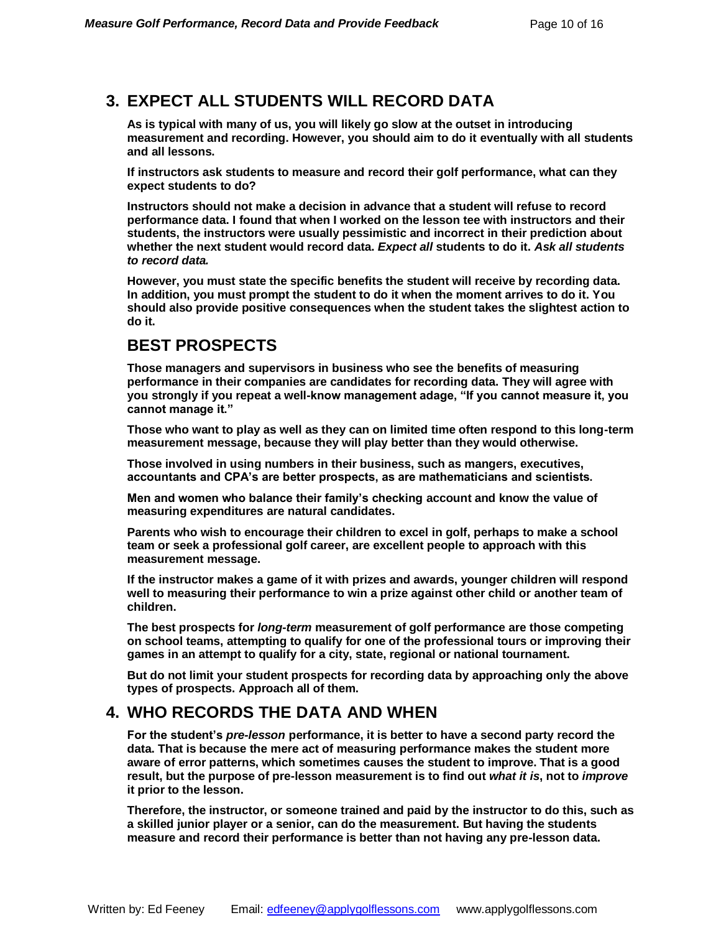### **3. EXPECT ALL STUDENTS WILL RECORD DATA**

**As is typical with many of us, you will likely go slow at the outset in introducing measurement and recording. However, you should aim to do it eventually with all students and all lessons.**

**If instructors ask students to measure and record their golf performance, what can they expect students to do?** 

**Instructors should not make a decision in advance that a student will refuse to record performance data. I found that when I worked on the lesson tee with instructors and their students, the instructors were usually pessimistic and incorrect in their prediction about whether the next student would record data.** *Expect all* **students to do it.** *Ask all students to record data.* 

**However, you must state the specific benefits the student will receive by recording data. In addition, you must prompt the student to do it when the moment arrives to do it. You should also provide positive consequences when the student takes the slightest action to do it.**

### **BEST PROSPECTS**

**Those managers and supervisors in business who see the benefits of measuring performance in their companies are candidates for recording data. They will agree with you strongly if you repeat a well-know management adage, "If you cannot measure it, you cannot manage it."**

**Those who want to play as well as they can on limited time often respond to this long-term measurement message, because they will play better than they would otherwise.** 

**Those involved in using numbers in their business, such as mangers, executives, accountants and CPA's are better prospects, as are mathematicians and scientists.** 

**Men and women who balance their family's checking account and know the value of measuring expenditures are natural candidates.**

**Parents who wish to encourage their children to excel in golf, perhaps to make a school team or seek a professional golf career, are excellent people to approach with this measurement message.**

**If the instructor makes a game of it with prizes and awards, younger children will respond well to measuring their performance to win a prize against other child or another team of children.** 

**The best prospects for** *long-term* **measurement of golf performance are those competing on school teams, attempting to qualify for one of the professional tours or improving their games in an attempt to qualify for a city, state, regional or national tournament.** 

**But do not limit your student prospects for recording data by approaching only the above types of prospects. Approach all of them.** 

### **4. WHO RECORDS THE DATA AND WHEN**

**For the student's** *pre-lesson* **performance, it is better to have a second party record the data. That is because the mere act of measuring performance makes the student more aware of error patterns, which sometimes causes the student to improve. That is a good result, but the purpose of pre-lesson measurement is to find out** *what it is***, not to** *improve* **it prior to the lesson.** 

**Therefore, the instructor, or someone trained and paid by the instructor to do this, such as a skilled junior player or a senior, can do the measurement. But having the students measure and record their performance is better than not having any pre-lesson data.**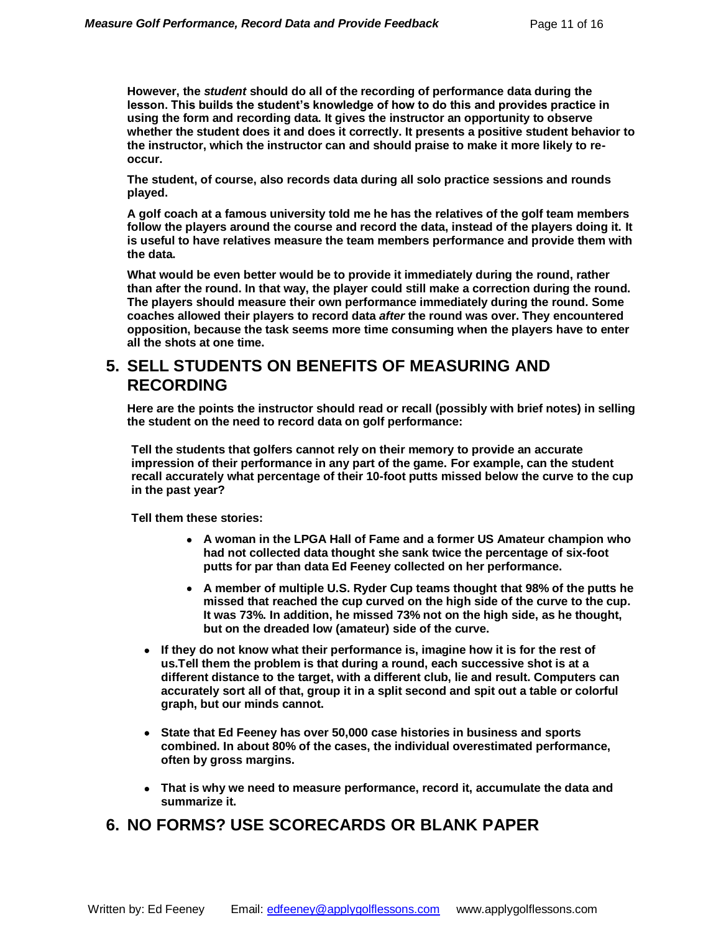**However, the** *student* **should do all of the recording of performance data during the lesson. This builds the student's knowledge of how to do this and provides practice in using the form and recording data. It gives the instructor an opportunity to observe whether the student does it and does it correctly. It presents a positive student behavior to the instructor, which the instructor can and should praise to make it more likely to reoccur.** 

**The student, of course, also records data during all solo practice sessions and rounds played.** 

**A golf coach at a famous university told me he has the relatives of the golf team members follow the players around the course and record the data, instead of the players doing it. It is useful to have relatives measure the team members performance and provide them with the data.** 

**What would be even better would be to provide it immediately during the round, rather than after the round. In that way, the player could still make a correction during the round. The players should measure their own performance immediately during the round. Some coaches allowed their players to record data** *after* **the round was over. They encountered opposition, because the task seems more time consuming when the players have to enter all the shots at one time.**

### **5. SELL STUDENTS ON BENEFITS OF MEASURING AND RECORDING**

**Here are the points the instructor should read or recall (possibly with brief notes) in selling the student on the need to record data on golf performance:**

**Tell the students that golfers cannot rely on their memory to provide an accurate impression of their performance in any part of the game. For example, can the student recall accurately what percentage of their 10-foot putts missed below the curve to the cup in the past year?** 

**Tell them these stories:**

- **A woman in the LPGA Hall of Fame and a former US Amateur champion who had not collected data thought she sank twice the percentage of six-foot putts for par than data Ed Feeney collected on her performance.**
- **A member of multiple U.S. Ryder Cup teams thought that 98% of the putts he missed that reached the cup curved on the high side of the curve to the cup. It was 73%. In addition, he missed 73% not on the high side, as he thought, but on the dreaded low (amateur) side of the curve.**
- **If they do not know what their performance is, imagine how it is for the rest of us.Tell them the problem is that during a round, each successive shot is at a different distance to the target, with a different club, lie and result. Computers can accurately sort all of that, group it in a split second and spit out a table or colorful graph, but our minds cannot.**
- **State that Ed Feeney has over 50,000 case histories in business and sports combined. In about 80% of the cases, the individual overestimated performance, often by gross margins.**
- **That is why we need to measure performance, record it, accumulate the data and summarize it.**

### **6. NO FORMS? USE SCORECARDS OR BLANK PAPER**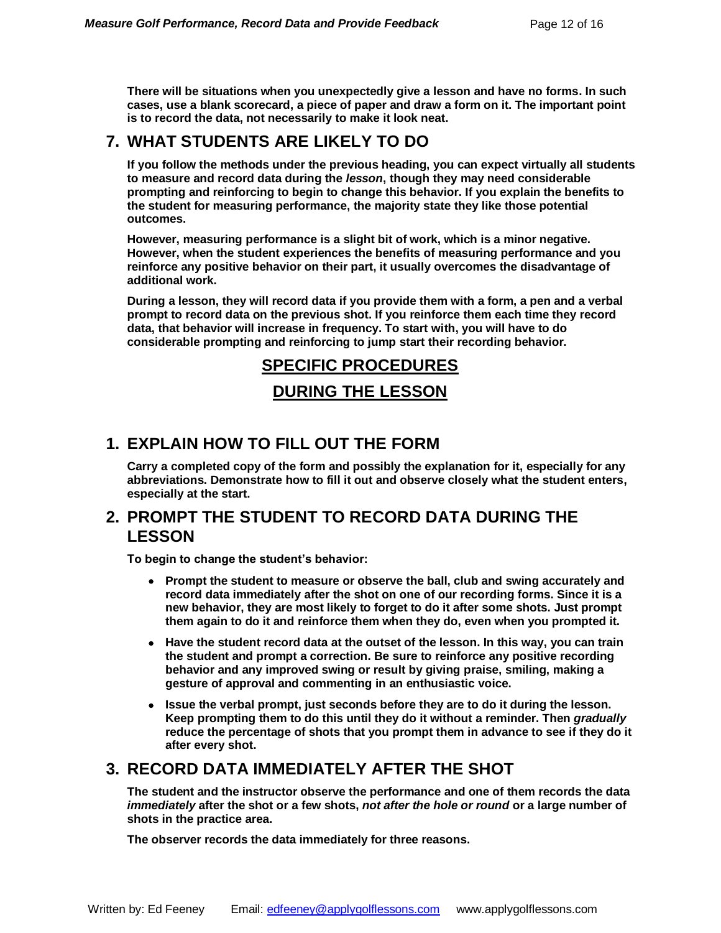**There will be situations when you unexpectedly give a lesson and have no forms. In such cases, use a blank scorecard, a piece of paper and draw a form on it. The important point is to record the data, not necessarily to make it look neat.** 

### **7. WHAT STUDENTS ARE LIKELY TO DO**

**If you follow the methods under the previous heading, you can expect virtually all students to measure and record data during the** *lesson***, though they may need considerable prompting and reinforcing to begin to change this behavior. If you explain the benefits to the student for measuring performance, the majority state they like those potential outcomes.** 

**However, measuring performance is a slight bit of work, which is a minor negative. However, when the student experiences the benefits of measuring performance and you reinforce any positive behavior on their part, it usually overcomes the disadvantage of additional work.** 

**During a lesson, they will record data if you provide them with a form, a pen and a verbal prompt to record data on the previous shot. If you reinforce them each time they record data, that behavior will increase in frequency. To start with, you will have to do considerable prompting and reinforcing to jump start their recording behavior.**

# **SPECIFIC PROCEDURES**

#### **DURING THE LESSON**

### **1. EXPLAIN HOW TO FILL OUT THE FORM**

**Carry a completed copy of the form and possibly the explanation for it, especially for any abbreviations. Demonstrate how to fill it out and observe closely what the student enters, especially at the start.**

#### **2. PROMPT THE STUDENT TO RECORD DATA DURING THE LESSON**

**To begin to change the student's behavior:**

- **Prompt the student to measure or observe the ball, club and swing accurately and record data immediately after the shot on one of our recording forms. Since it is a new behavior, they are most likely to forget to do it after some shots. Just prompt them again to do it and reinforce them when they do, even when you prompted it.**
- **Have the student record data at the outset of the lesson. In this way, you can train the student and prompt a correction. Be sure to reinforce any positive recording behavior and any improved swing or result by giving praise, smiling, making a gesture of approval and commenting in an enthusiastic voice.**
- **Issue the verbal prompt, just seconds before they are to do it during the lesson. Keep prompting them to do this until they do it without a reminder. Then** *gradually*  **reduce the percentage of shots that you prompt them in advance to see if they do it after every shot.**

### **3. RECORD DATA IMMEDIATELY AFTER THE SHOT**

**The student and the instructor observe the performance and one of them records the data**  *immediately* **after the shot or a few shots,** *not after the hole or round* **or a large number of shots in the practice area.**

**The observer records the data immediately for three reasons.**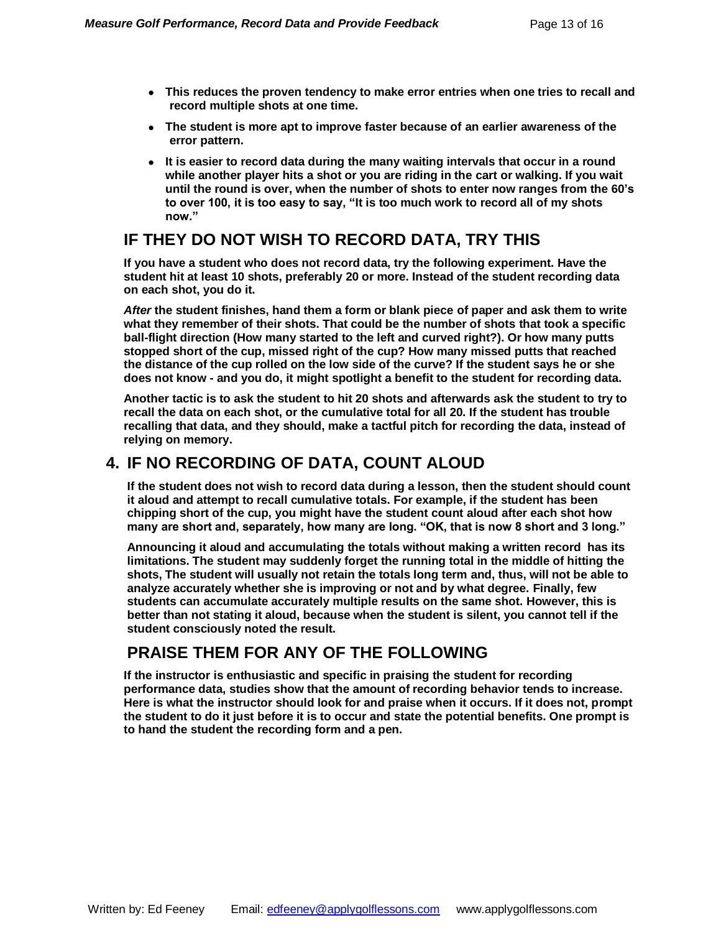- **This reduces the proven tendency to make error entries when one tries to recall and record multiple shots at one time.**
- **The student is more apt to improve faster because of an earlier awareness of the error pattern.**
- **It is easier to record data during the many waiting intervals that occur in a round while another player hits a shot or you are riding in the cart or walking. If you wait until the round is over, when the number of shots to enter now ranges from the 60's to over 100, it is too easy to say, "It is too much work to record all of my shots now."**

### **IF THEY DO NOT WISH TO RECORD DATA, TRY THIS**

**If you have a student who does not record data, try the following experiment. Have the student hit at least 10 shots, preferably 20 or more. Instead of the student recording data on each shot, you do it.** 

*After* **the student finishes, hand them a form or blank piece of paper and ask them to write what they remember of their shots. That could be the number of shots that took a specific ball-flight direction (How many started to the left and curved right?). Or how many putts stopped short of the cup, missed right of the cup? How many missed putts that reached the distance of the cup rolled on the low side of the curve? If the student says he or she does not know - and you do, it might spotlight a benefit to the student for recording data.**

**Another tactic is to ask the student to hit 20 shots and afterwards ask the student to try to recall the data on each shot, or the cumulative total for all 20. If the student has trouble recalling that data, and they should, make a tactful pitch for recording the data, instead of relying on memory.**

### **4. IF NO RECORDING OF DATA, COUNT ALOUD**

**If the student does not wish to record data during a lesson, then the student should count it aloud and attempt to recall cumulative totals. For example, if the student has been chipping short of the cup, you might have the student count aloud after each shot how many are short and, separately, how many are long. "OK, that is now 8 short and 3 long."**

**Announcing it aloud and accumulating the totals without making a written record has its limitations. The student may suddenly forget the running total in the middle of hitting the shots, The student will usually not retain the totals long term and, thus, will not be able to analyze accurately whether she is improving or not and by what degree. Finally, few students can accumulate accurately multiple results on the same shot. However, this is better than not stating it aloud, because when the student is silent, you cannot tell if the student consciously noted the result.** 

### **PRAISE THEM FOR ANY OF THE FOLLOWING**

**If the instructor is enthusiastic and specific in praising the student for recording performance data, studies show that the amount of recording behavior tends to increase. Here is what the instructor should look for and praise when it occurs. If it does not, prompt the student to do it just before it is to occur and state the potential benefits. One prompt is to hand the student the recording form and a pen.**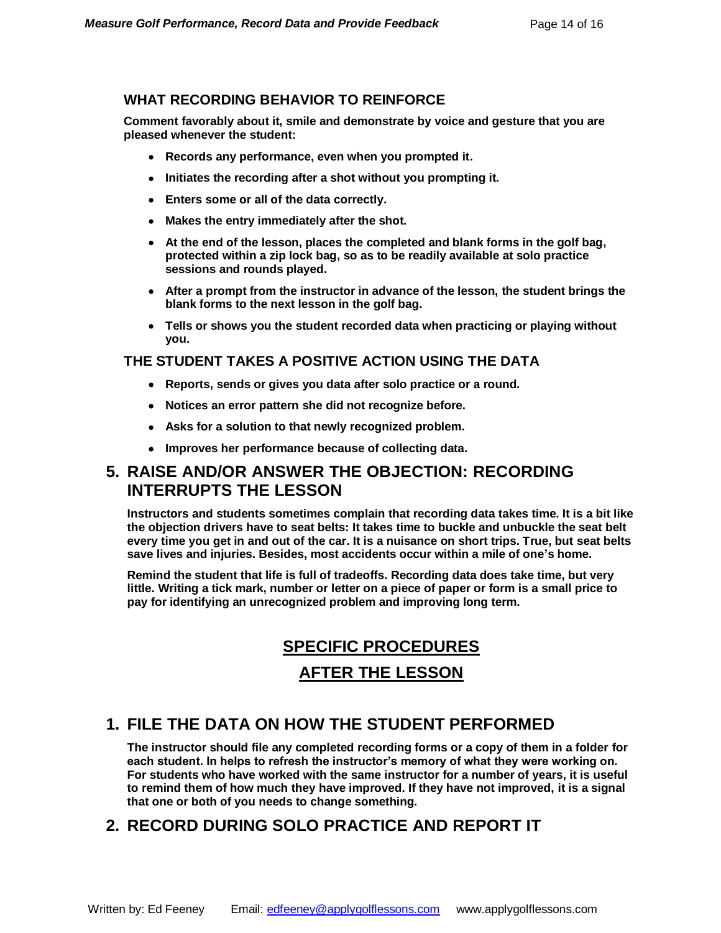#### **WHAT RECORDING BEHAVIOR TO REINFORCE**

**Comment favorably about it, smile and demonstrate by voice and gesture that you are pleased whenever the student:**

- **Records any performance, even when you prompted it.**
- **Initiates the recording after a shot without you prompting it.**
- **Enters some or all of the data correctly.**
- **Makes the entry immediately after the shot.**
- **At the end of the lesson, places the completed and blank forms in the golf bag, protected within a zip lock bag, so as to be readily available at solo practice sessions and rounds played.**
- **After a prompt from the instructor in advance of the lesson, the student brings the blank forms to the next lesson in the golf bag.**
- **Tells or shows you the student recorded data when practicing or playing without you.**

#### **THE STUDENT TAKES A POSITIVE ACTION USING THE DATA**

- **Reports, sends or gives you data after solo practice or a round.**
- **Notices an error pattern she did not recognize before.**
- **Asks for a solution to that newly recognized problem.**
- **Improves her performance because of collecting data.**

### **5. RAISE AND/OR ANSWER THE OBJECTION: RECORDING INTERRUPTS THE LESSON**

**Instructors and students sometimes complain that recording data takes time. It is a bit like the objection drivers have to seat belts: It takes time to buckle and unbuckle the seat belt every time you get in and out of the car. It is a nuisance on short trips. True, but seat belts save lives and injuries. Besides, most accidents occur within a mile of one's home.**

**Remind the student that life is full of tradeoffs. Recording data does take time, but very little. Writing a tick mark, number or letter on a piece of paper or form is a small price to pay for identifying an unrecognized problem and improving long term.**

# **SPECIFIC PROCEDURES**

#### **AFTER THE LESSON**

### **1. FILE THE DATA ON HOW THE STUDENT PERFORMED**

**The instructor should file any completed recording forms or a copy of them in a folder for each student. In helps to refresh the instructor's memory of what they were working on. For students who have worked with the same instructor for a number of years, it is useful to remind them of how much they have improved. If they have not improved, it is a signal that one or both of you needs to change something.** 

### **2. RECORD DURING SOLO PRACTICE AND REPORT IT**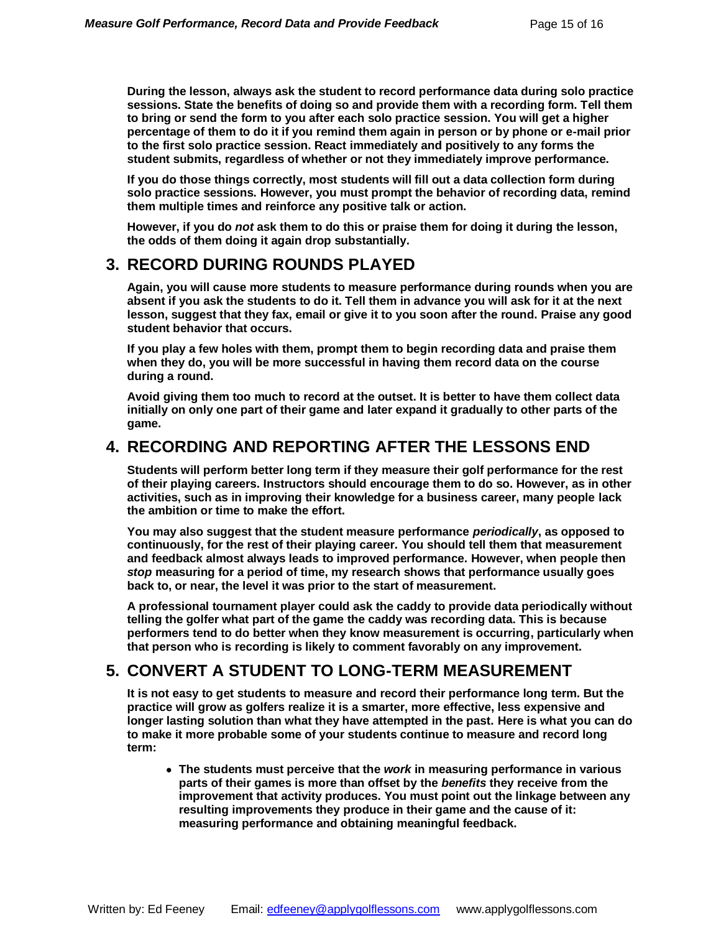**During the lesson, always ask the student to record performance data during solo practice sessions. State the benefits of doing so and provide them with a recording form. Tell them to bring or send the form to you after each solo practice session. You will get a higher percentage of them to do it if you remind them again in person or by phone or e-mail prior to the first solo practice session. React immediately and positively to any forms the student submits, regardless of whether or not they immediately improve performance.**

**If you do those things correctly, most students will fill out a data collection form during solo practice sessions. However, you must prompt the behavior of recording data, remind them multiple times and reinforce any positive talk or action.**

**However, if you do** *not* **ask them to do this or praise them for doing it during the lesson, the odds of them doing it again drop substantially.**

### **3. RECORD DURING ROUNDS PLAYED**

**Again, you will cause more students to measure performance during rounds when you are absent if you ask the students to do it. Tell them in advance you will ask for it at the next lesson, suggest that they fax, email or give it to you soon after the round. Praise any good student behavior that occurs.** 

**If you play a few holes with them, prompt them to begin recording data and praise them when they do, you will be more successful in having them record data on the course during a round.**

**Avoid giving them too much to record at the outset. It is better to have them collect data initially on only one part of their game and later expand it gradually to other parts of the game.**

### **4. RECORDING AND REPORTING AFTER THE LESSONS END**

**Students will perform better long term if they measure their golf performance for the rest of their playing careers. Instructors should encourage them to do so. However, as in other activities, such as in improving their knowledge for a business career, many people lack the ambition or time to make the effort.** 

**You may also suggest that the student measure performance** *periodically***, as opposed to continuously, for the rest of their playing career. You should tell them that measurement and feedback almost always leads to improved performance. However, when people then**  *stop* **measuring for a period of time, my research shows that performance usually goes back to, or near, the level it was prior to the start of measurement.**

**A professional tournament player could ask the caddy to provide data periodically without telling the golfer what part of the game the caddy was recording data. This is because performers tend to do better when they know measurement is occurring, particularly when that person who is recording is likely to comment favorably on any improvement.**

### **5. CONVERT A STUDENT TO LONG-TERM MEASUREMENT**

**It is not easy to get students to measure and record their performance long term. But the practice will grow as golfers realize it is a smarter, more effective, less expensive and longer lasting solution than what they have attempted in the past. Here is what you can do to make it more probable some of your students continue to measure and record long term:**

 **The students must perceive that the** *work* **in measuring performance in various parts of their games is more than offset by the** *benefits* **they receive from the improvement that activity produces. You must point out the linkage between any resulting improvements they produce in their game and the cause of it: measuring performance and obtaining meaningful feedback.**